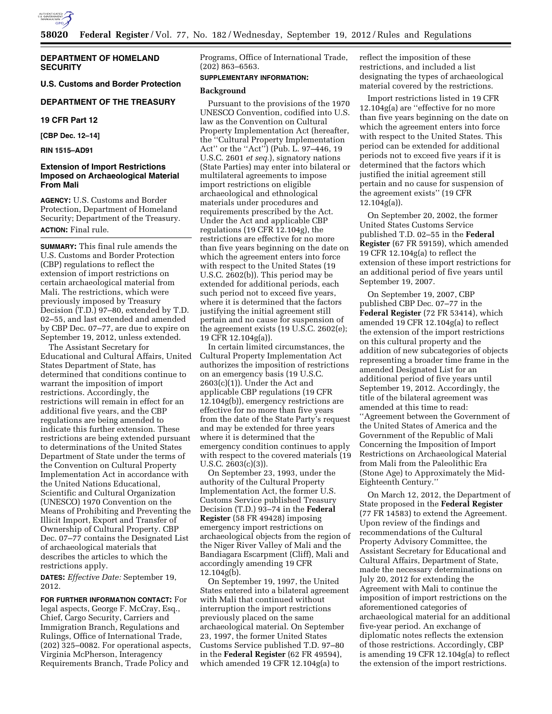

# **DEPARTMENT OF HOMELAND SECURITY**

**U.S. Customs and Border Protection** 

# **DEPARTMENT OF THE TREASURY**

**19 CFR Part 12** 

**[CBP Dec. 12–14]** 

**RIN 1515–AD91** 

# **Extension of Import Restrictions Imposed on Archaeological Material From Mali**

**AGENCY:** U.S. Customs and Border Protection, Department of Homeland Security; Department of the Treasury. **ACTION:** Final rule.

**SUMMARY:** This final rule amends the U.S. Customs and Border Protection (CBP) regulations to reflect the extension of import restrictions on certain archaeological material from Mali. The restrictions, which were previously imposed by Treasury Decision (T.D.) 97–80, extended by T.D. 02–55, and last extended and amended by CBP Dec. 07–77, are due to expire on September 19, 2012, unless extended.

The Assistant Secretary for Educational and Cultural Affairs, United States Department of State, has determined that conditions continue to warrant the imposition of import restrictions. Accordingly, the restrictions will remain in effect for an additional five years, and the CBP regulations are being amended to indicate this further extension. These restrictions are being extended pursuant to determinations of the United States Department of State under the terms of the Convention on Cultural Property Implementation Act in accordance with the United Nations Educational, Scientific and Cultural Organization (UNESCO) 1970 Convention on the Means of Prohibiting and Preventing the Illicit Import, Export and Transfer of Ownership of Cultural Property. CBP Dec. 07–77 contains the Designated List of archaeological materials that describes the articles to which the restrictions apply.

**DATES:** *Effective Date:* September 19, 2012.

**FOR FURTHER INFORMATION CONTACT:** For legal aspects, George F. McCray, Esq., Chief, Cargo Security, Carriers and Immigration Branch, Regulations and Rulings, Office of International Trade, (202) 325–0082. For operational aspects, Virginia McPherson, Interagency Requirements Branch, Trade Policy and

Programs, Office of International Trade, (202) 863–6563.

# **SUPPLEMENTARY INFORMATION:**

#### **Background**

Pursuant to the provisions of the 1970 UNESCO Convention, codified into U.S. law as the Convention on Cultural Property Implementation Act (hereafter, the ''Cultural Property Implementation Act'' or the ''Act'') (Pub. L. 97–446, 19 U.S.C. 2601 *et seq.*), signatory nations (State Parties) may enter into bilateral or multilateral agreements to impose import restrictions on eligible archaeological and ethnological materials under procedures and requirements prescribed by the Act. Under the Act and applicable CBP regulations (19 CFR 12.104g), the restrictions are effective for no more than five years beginning on the date on which the agreement enters into force with respect to the United States (19 U.S.C. 2602(b)). This period may be extended for additional periods, each such period not to exceed five years, where it is determined that the factors justifying the initial agreement still pertain and no cause for suspension of the agreement exists (19 U.S.C. 2602(e); 19 CFR 12.104g(a)).

In certain limited circumstances, the Cultural Property Implementation Act authorizes the imposition of restrictions on an emergency basis (19 U.S.C. 2603(c)(1)). Under the Act and applicable CBP regulations (19 CFR 12.104g(b)), emergency restrictions are effective for no more than five years from the date of the State Party's request and may be extended for three years where it is determined that the emergency condition continues to apply with respect to the covered materials (19 U.S.C. 2603(c)(3)).

On September 23, 1993, under the authority of the Cultural Property Implementation Act, the former U.S. Customs Service published Treasury Decision (T.D.) 93–74 in the **Federal Register** (58 FR 49428) imposing emergency import restrictions on archaeological objects from the region of the Niger River Valley of Mali and the Bandiagara Escarpment (Cliff), Mali and accordingly amending 19 CFR 12.104g(b).

On September 19, 1997, the United States entered into a bilateral agreement with Mali that continued without interruption the import restrictions previously placed on the same archaeological material. On September 23, 1997, the former United States Customs Service published T.D. 97–80 in the **Federal Register** (62 FR 49594), which amended 19 CFR 12.104g(a) to

reflect the imposition of these restrictions, and included a list designating the types of archaeological material covered by the restrictions.

Import restrictions listed in 19 CFR 12.104g(a) are ''effective for no more than five years beginning on the date on which the agreement enters into force with respect to the United States. This period can be extended for additional periods not to exceed five years if it is determined that the factors which justified the initial agreement still pertain and no cause for suspension of the agreement exists'' (19 CFR 12.104g(a)).

On September 20, 2002, the former United States Customs Service published T.D. 02–55 in the **Federal Register** (67 FR 59159), which amended 19 CFR 12.104g(a) to reflect the extension of these import restrictions for an additional period of five years until September 19, 2007.

On September 19, 2007, CBP published CBP Dec. 07–77 in the **Federal Register** (72 FR 53414), which amended 19 CFR 12.104g(a) to reflect the extension of the import restrictions on this cultural property and the addition of new subcategories of objects representing a broader time frame in the amended Designated List for an additional period of five years until September 19, 2012. Accordingly, the title of the bilateral agreement was amended at this time to read: ''Agreement between the Government of the United States of America and the Government of the Republic of Mali Concerning the Imposition of Import Restrictions on Archaeological Material from Mali from the Paleolithic Era (Stone Age) to Approximately the Mid-Eighteenth Century.''

On March 12, 2012, the Department of State proposed in the **Federal Register**  (77 FR 14583) to extend the Agreement. Upon review of the findings and recommendations of the Cultural Property Advisory Committee, the Assistant Secretary for Educational and Cultural Affairs, Department of State, made the necessary determinations on July 20, 2012 for extending the Agreement with Mali to continue the imposition of import restrictions on the aforementioned categories of archaeological material for an additional five-year period. An exchange of diplomatic notes reflects the extension of those restrictions. Accordingly, CBP is amending 19 CFR 12.104g(a) to reflect the extension of the import restrictions.